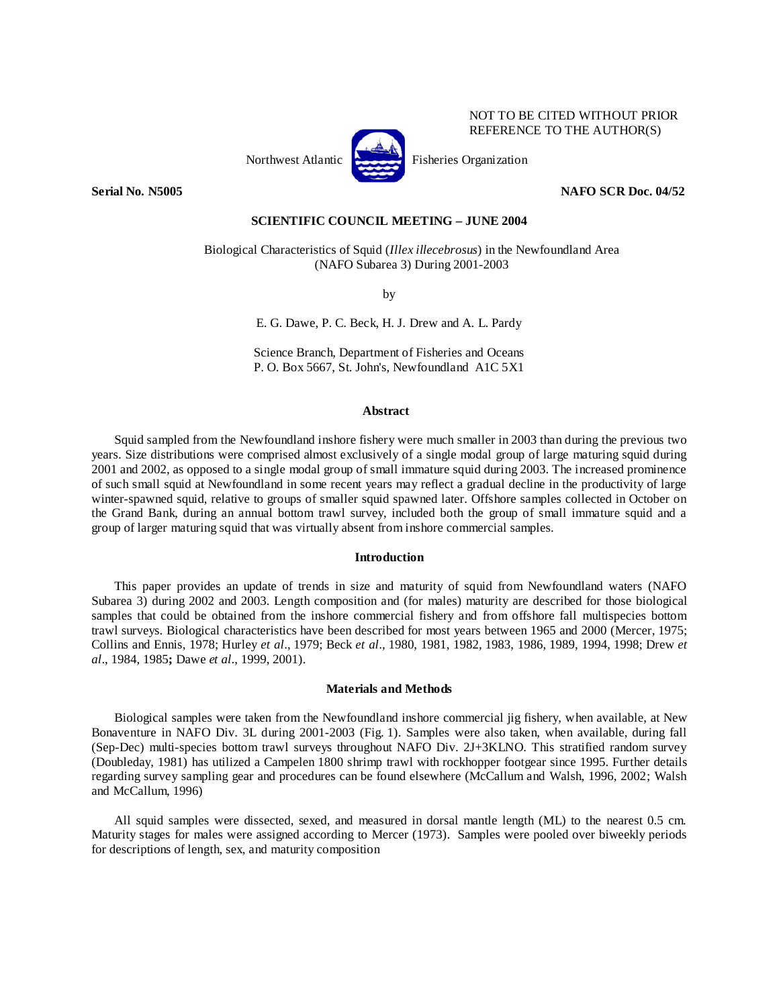

**Serial No. N5005 NAFO SCR Doc. 04/52** 

NOT TO BE CITED WITHOUT PRIOR REFERENCE TO THE AUTHOR(S)

**SCIENTIFIC COUNCIL MEETING – JUNE 2004** 

Biological Characteristics of Squid (*Illex illecebrosus*) in the Newfoundland Area (NAFO Subarea 3) During 2001-2003

by

E. G. Dawe, P. C. Beck, H. J. Drew and A. L. Pardy

Science Branch, Department of Fisheries and Oceans P. O. Box 5667, St. John's, Newfoundland A1C 5X1

### **Abstract**

 Squid sampled from the Newfoundland inshore fishery were much smaller in 2003 than during the previous two years. Size distributions were comprised almost exclusively of a single modal group of large maturing squid during 2001 and 2002, as opposed to a single modal group of small immature squid during 2003. The increased prominence of such small squid at Newfoundland in some recent years may reflect a gradual decline in the productivity of large winter-spawned squid, relative to groups of smaller squid spawned later. Offshore samples collected in October on the Grand Bank, during an annual bottom trawl survey, included both the group of small immature squid and a group of larger maturing squid that was virtually absent from inshore commercial samples.

# **Introduction**

 This paper provides an update of trends in size and maturity of squid from Newfoundland waters (NAFO Subarea 3) during 2002 and 2003. Length composition and (for males) maturity are described for those biological samples that could be obtained from the inshore commercial fishery and from offshore fall multispecies bottom trawl surveys. Biological characteristics have been described for most years between 1965 and 2000 (Mercer, 1975; Collins and Ennis, 1978; Hurley *et al*., 1979; Beck *et al*., 1980, 1981, 1982, 1983, 1986, 1989, 1994, 1998; Drew *et al*., 1984, 1985**;** Dawe *et al*., 1999, 2001).

## **Materials and Methods**

 Biological samples were taken from the Newfoundland inshore commercial jig fishery, when available, at New Bonaventure in NAFO Div. 3L during 2001-2003 (Fig. 1). Samples were also taken, when available, during fall (Sep-Dec) multi-species bottom trawl surveys throughout NAFO Div. 2J+3KLNO. This stratified random survey (Doubleday, 1981) has utilized a Campelen 1800 shrimp trawl with rockhopper footgear since 1995. Further details regarding survey sampling gear and procedures can be found elsewhere (McCallum and Walsh, 1996, 2002; Walsh and McCallum, 1996)

All squid samples were dissected, sexed, and measured in dorsal mantle length (ML) to the nearest 0.5 cm. Maturity stages for males were assigned according to Mercer (1973). Samples were pooled over biweekly periods for descriptions of length, sex, and maturity composition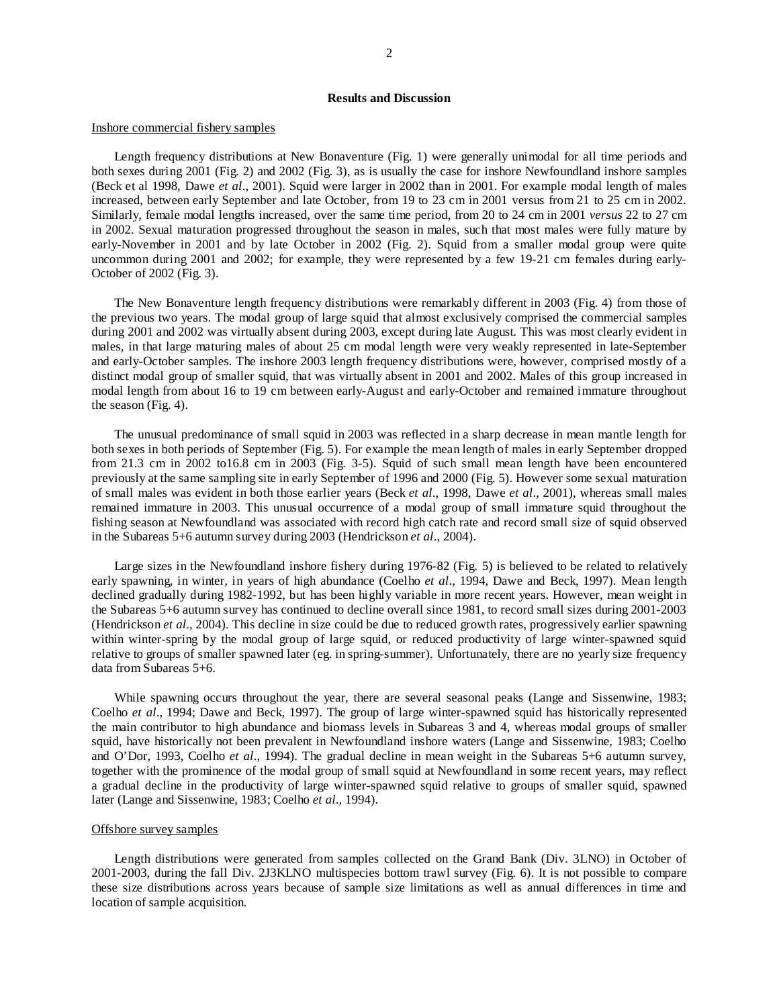# **Results and Discussion**

#### Inshore commercial fishery samples

 Length frequency distributions at New Bonaventure (Fig. 1) were generally unimodal for all time periods and both sexes during 2001 (Fig. 2) and 2002 (Fig. 3), as is usually the case for inshore Newfoundland inshore samples (Beck et al 1998, Dawe *et al*., 2001). Squid were larger in 2002 than in 2001. For example modal length of males increased, between early September and late October, from 19 to 23 cm in 2001 versus from 21 to 25 cm in 2002. Similarly, female modal lengths increased, over the same time period, from 20 to 24 cm in 2001 *versus* 22 to 27 cm in 2002. Sexual maturation progressed throughout the season in males, such that most males were fully mature by early-November in 2001 and by late October in 2002 (Fig. 2). Squid from a smaller modal group were quite uncommon during 2001 and 2002; for example, they were represented by a few 19-21 cm females during early-October of 2002 (Fig. 3).

 The New Bonaventure length frequency distributions were remarkably different in 2003 (Fig. 4) from those of the previous two years. The modal group of large squid that almost exclusively comprised the commercial samples during 2001 and 2002 was virtually absent during 2003, except during late August. This was most clearly evident in males, in that large maturing males of about 25 cm modal length were very weakly represented in late-September and early-October samples. The inshore 2003 length frequency distributions were, however, comprised mostly of a distinct modal group of smaller squid, that was virtually absent in 2001 and 2002. Males of this group increased in modal length from about 16 to 19 cm between early-August and early-October and remained immature throughout the season (Fig. 4).

 The unusual predominance of small squid in 2003 was reflected in a sharp decrease in mean mantle length for both sexes in both periods of September (Fig. 5). For example the mean length of males in early September dropped from 21.3 cm in 2002 to16.8 cm in 2003 (Fig. 3-5). Squid of such small mean length have been encountered previously at the same sampling site in early September of 1996 and 2000 (Fig. 5). However some sexual maturation of small males was evident in both those earlier years (Beck *et al*., 1998, Dawe *et al*., 2001), whereas small males remained immature in 2003. This unusual occurrence of a modal group of small immature squid throughout the fishing season at Newfoundland was associated with record high catch rate and record small size of squid observed in the Subareas 5+6 autumn survey during 2003 (Hendrickson *et al*., 2004).

Large sizes in the Newfoundland inshore fishery during 1976-82 (Fig. 5) is believed to be related to relatively early spawning, in winter, in years of high abundance (Coelho *et al*., 1994, Dawe and Beck, 1997). Mean length declined gradually during 1982-1992, but has been highly variable in more recent years. However, mean weight in the Subareas 5+6 autumn survey has continued to decline overall since 1981, to record small sizes during 2001-2003 (Hendrickson *et al*., 2004). This decline in size could be due to reduced growth rates, progressively earlier spawning within winter-spring by the modal group of large squid, or reduced productivity of large winter-spawned squid relative to groups of smaller spawned later (eg. in spring-summer). Unfortunately, there are no yearly size frequency data from Subareas 5+6.

While spawning occurs throughout the year, there are several seasonal peaks (Lange and Sissenwine, 1983; Coelho *et al*., 1994; Dawe and Beck, 1997). The group of large winter-spawned squid has historically represented the main contributor to high abundance and biomass levels in Subareas 3 and 4, whereas modal groups of smaller squid, have historically not been prevalent in Newfoundland inshore waters (Lange and Sissenwine, 1983; Coelho and O'Dor, 1993, Coelho *et al*., 1994). The gradual decline in mean weight in the Subareas 5+6 autumn survey, together with the prominence of the modal group of small squid at Newfoundland in some recent years, may reflect a gradual decline in the productivity of large winter-spawned squid relative to groups of smaller squid, spawned later (Lange and Sissenwine, 1983; Coelho *et al*., 1994).

### Offshore survey samples

 Length distributions were generated from samples collected on the Grand Bank (Div. 3LNO) in October of 2001-2003, during the fall Div. 2J3KLNO multispecies bottom trawl survey (Fig. 6). It is not possible to compare these size distributions across years because of sample size limitations as well as annual differences in time and location of sample acquisition.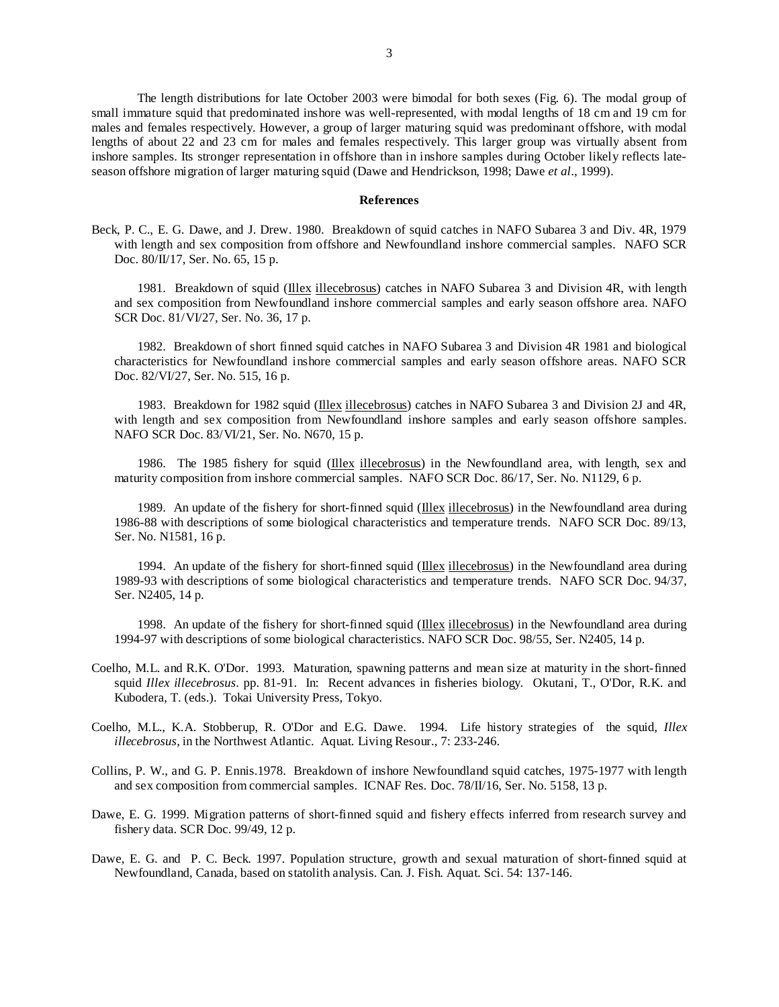The length distributions for late October 2003 were bimodal for both sexes (Fig. 6). The modal group of small immature squid that predominated inshore was well-represented, with modal lengths of 18 cm and 19 cm for males and females respectively. However, a group of larger maturing squid was predominant offshore, with modal lengths of about 22 and 23 cm for males and females respectively. This larger group was virtually absent from inshore samples. Its stronger representation in offshore than in inshore samples during October likely reflects lateseason offshore migration of larger maturing squid (Dawe and Hendrickson, 1998; Dawe *et al*., 1999).

## **References**

Beck, P. C., E. G. Dawe, and J. Drew. 1980. Breakdown of squid catches in NAFO Subarea 3 and Div. 4R, 1979 with length and sex composition from offshore and Newfoundland inshore commercial samples. NAFO SCR Doc. 80/II/17, Ser. No. 65, 15 p.

 1981. Breakdown of squid (Illex illecebrosus) catches in NAFO Subarea 3 and Division 4R, with length and sex composition from Newfoundland inshore commercial samples and early season offshore area. NAFO SCR Doc. 81/VI/27, Ser. No. 36, 17 p.

 1982. Breakdown of short finned squid catches in NAFO Subarea 3 and Division 4R 1981 and biological characteristics for Newfoundland inshore commercial samples and early season offshore areas. NAFO SCR Doc. 82/VI/27, Ser. No. 515, 16 p.

 1983. Breakdown for 1982 squid (Illex illecebrosus) catches in NAFO Subarea 3 and Division 2J and 4R, with length and sex composition from Newfoundland inshore samples and early season offshore samples. NAFO SCR Doc. 83/VI/21, Ser. No. N670, 15 p.

1986. The 1985 fishery for squid (Illex illecebrosus) in the Newfoundland area, with length, sex and maturity composition from inshore commercial samples. NAFO SCR Doc. 86/17, Ser. No. N1129, 6 p.

1989. An update of the fishery for short-finned squid (Illex illecebrosus) in the Newfoundland area during 1986-88 with descriptions of some biological characteristics and temperature trends. NAFO SCR Doc. 89/13, Ser. No. N1581, 16 p.

1994. An update of the fishery for short-finned squid (Illex illecebrosus) in the Newfoundland area during 1989-93 with descriptions of some biological characteristics and temperature trends. NAFO SCR Doc. 94/37, Ser. N2405, 14 p.

1998. An update of the fishery for short-finned squid (Illex illecebrosus) in the Newfoundland area during 1994-97 with descriptions of some biological characteristics. NAFO SCR Doc. 98/55, Ser. N2405, 14 p.

- Coelho, M.L. and R.K. O'Dor. 1993. Maturation, spawning patterns and mean size at maturity in the short-finned squid *Illex illecebrosus*. pp. 81-91. In: Recent advances in fisheries biology. Okutani, T., O'Dor, R.K. and Kubodera, T. (eds.). Tokai University Press, Tokyo.
- Coelho, M.L., K.A. Stobberup, R. O'Dor and E.G. Dawe. 1994. Life history strategies of the squid, *Illex illecebrosus*, in the Northwest Atlantic. Aquat. Living Resour., 7: 233-246.
- Collins, P. W., and G. P. Ennis.1978. Breakdown of inshore Newfoundland squid catches, 1975-1977 with length and sex composition from commercial samples. ICNAF Res. Doc. 78/II/16, Ser. No. 5158, 13 p.
- Dawe, E. G. 1999. Migration patterns of short-finned squid and fishery effects inferred from research survey and fishery data. SCR Doc. 99/49, 12 p.
- Dawe, E. G. and P. C. Beck. 1997. Population structure, growth and sexual maturation of short-finned squid at Newfoundland, Canada, based on statolith analysis. Can. J. Fish. Aquat. Sci. 54: 137-146.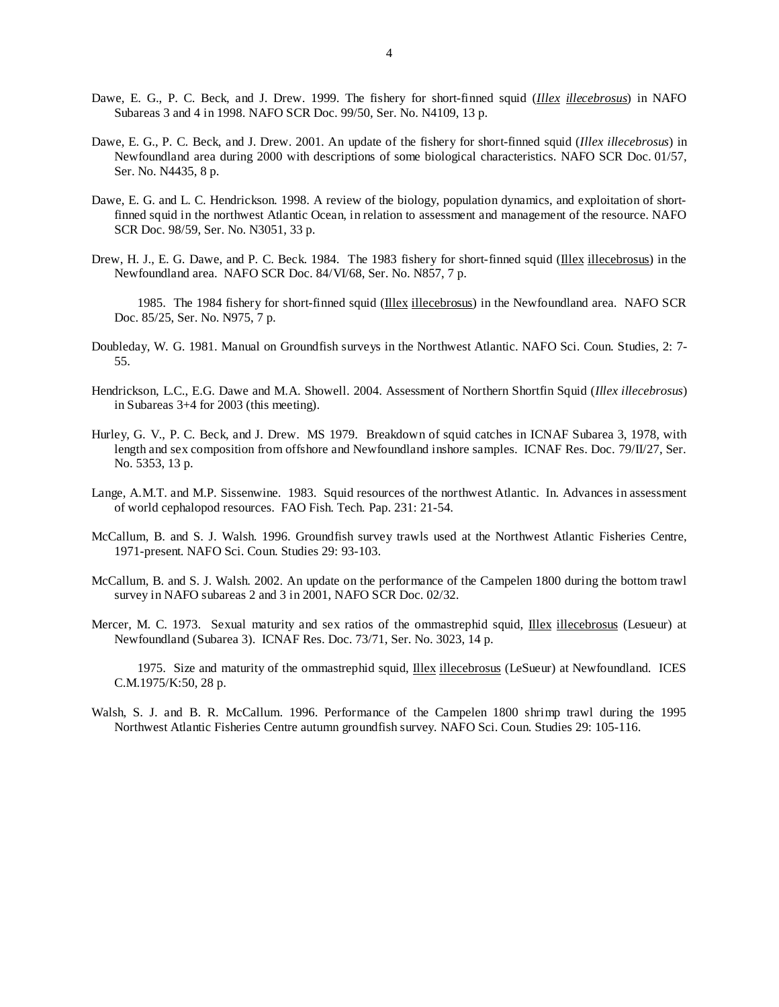- Dawe, E. G., P. C. Beck, and J. Drew. 1999. The fishery for short-finned squid (*Illex illecebrosus*) in NAFO Subareas 3 and 4 in 1998. NAFO SCR Doc. 99/50, Ser. No. N4109, 13 p.
- Dawe, E. G., P. C. Beck, and J. Drew. 2001. An update of the fishery for short-finned squid (*Illex illecebrosus*) in Newfoundland area during 2000 with descriptions of some biological characteristics. NAFO SCR Doc. 01/57, Ser. No. N4435, 8 p.
- Dawe, E. G. and L. C. Hendrickson. 1998. A review of the biology, population dynamics, and exploitation of shortfinned squid in the northwest Atlantic Ocean, in relation to assessment and management of the resource. NAFO SCR Doc. 98/59, Ser. No. N3051, 33 p.
- Drew, H. J., E. G. Dawe, and P. C. Beck. 1984. The 1983 fishery for short-finned squid (Illex illecebrosus) in the Newfoundland area. NAFO SCR Doc. 84/VI/68, Ser. No. N857, 7 p.
	- 1985. The 1984 fishery for short-finned squid (Illex illecebrosus) in the Newfoundland area. NAFO SCR Doc. 85/25, Ser. No. N975, 7 p.
- Doubleday, W. G. 1981. Manual on Groundfish surveys in the Northwest Atlantic. NAFO Sci. Coun. Studies, 2: 7- 55.
- Hendrickson, L.C., E.G. Dawe and M.A. Showell. 2004. Assessment of Northern Shortfin Squid (*Illex illecebrosus*) in Subareas 3+4 for 2003 (this meeting).
- Hurley, G. V., P. C. Beck, and J. Drew. MS 1979. Breakdown of squid catches in ICNAF Subarea 3, 1978, with length and sex composition from offshore and Newfoundland inshore samples. ICNAF Res. Doc. 79/II/27, Ser. No. 5353, 13 p.
- Lange, A.M.T. and M.P. Sissenwine. 1983. Squid resources of the northwest Atlantic. In. Advances in assessment of world cephalopod resources. FAO Fish. Tech. Pap. 231: 21-54.
- McCallum, B. and S. J. Walsh. 1996. Groundfish survey trawls used at the Northwest Atlantic Fisheries Centre, 1971-present. NAFO Sci. Coun. Studies 29: 93-103.
- McCallum, B. and S. J. Walsh. 2002. An update on the performance of the Campelen 1800 during the bottom trawl survey in NAFO subareas 2 and 3 in 2001, NAFO SCR Doc. 02/32.
- Mercer, M. C. 1973. Sexual maturity and sex ratios of the ommastrephid squid, Illex illecebrosus (Lesueur) at Newfoundland (Subarea 3). ICNAF Res. Doc. 73/71, Ser. No. 3023, 14 p.

 1975. Size and maturity of the ommastrephid squid, Illex illecebrosus (LeSueur) at Newfoundland. ICES C.M.1975/K:50, 28 p.

Walsh, S. J. and B. R. McCallum. 1996. Performance of the Campelen 1800 shrimp trawl during the 1995 Northwest Atlantic Fisheries Centre autumn groundfish survey. NAFO Sci. Coun. Studies 29: 105-116.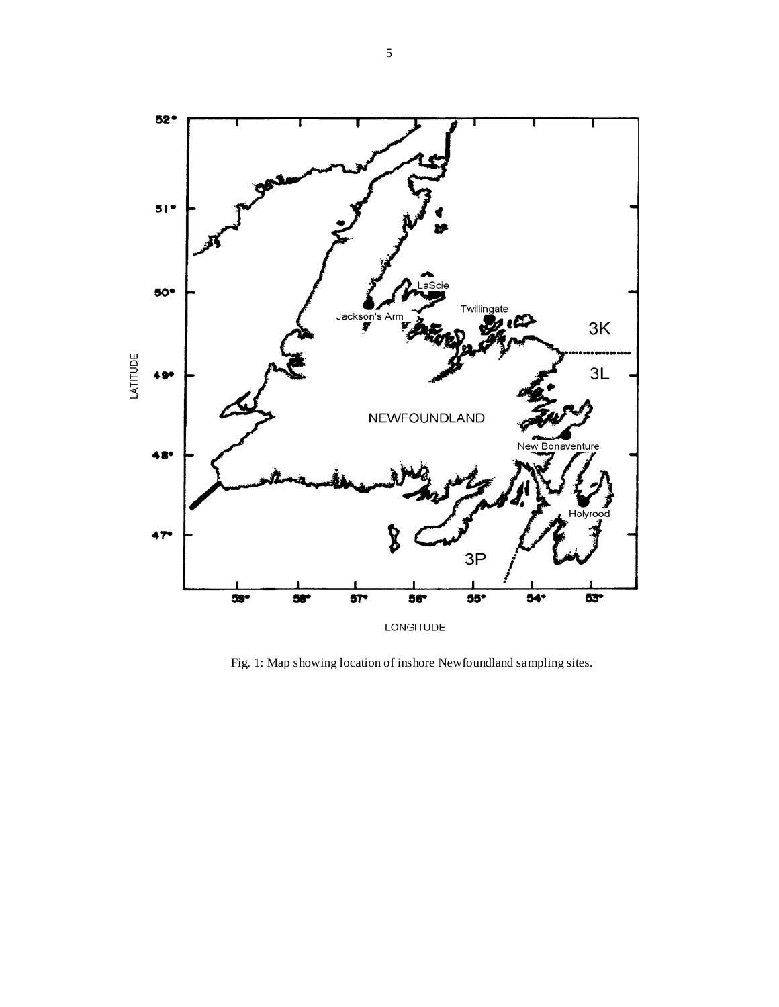

Fig. 1: Map showing location of inshore Newfoundland sampling sites.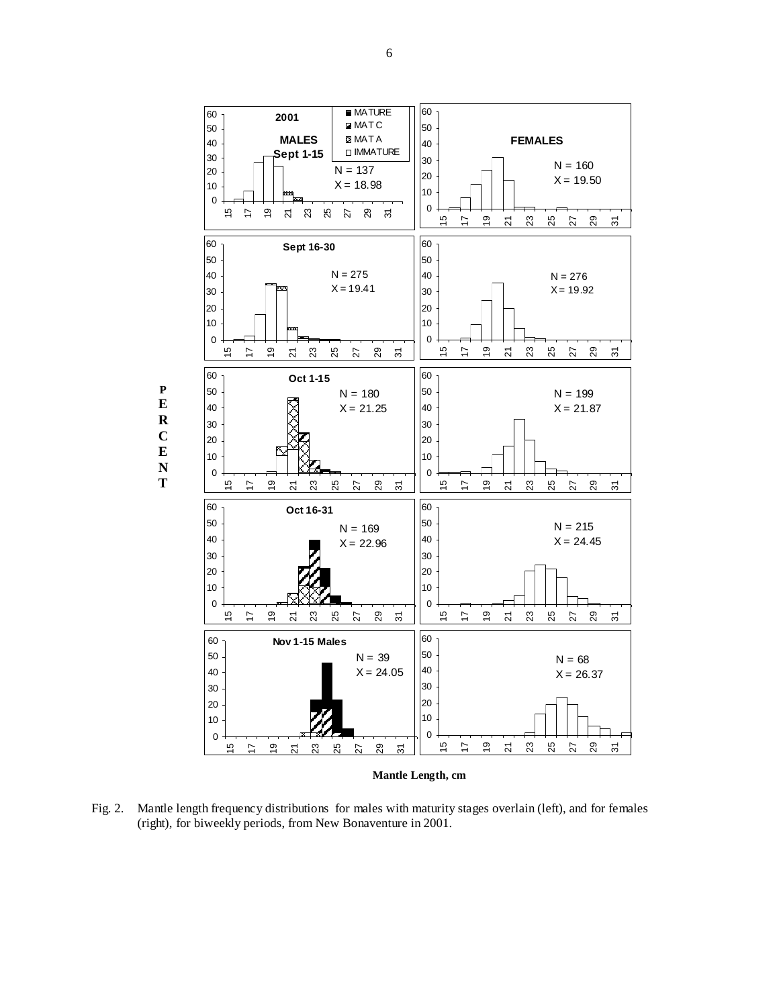

Fig. 2. Mantle length frequency distributions for males with maturity stages overlain (left), and for females (right), for biweekly periods, from New Bonaventure in 2001.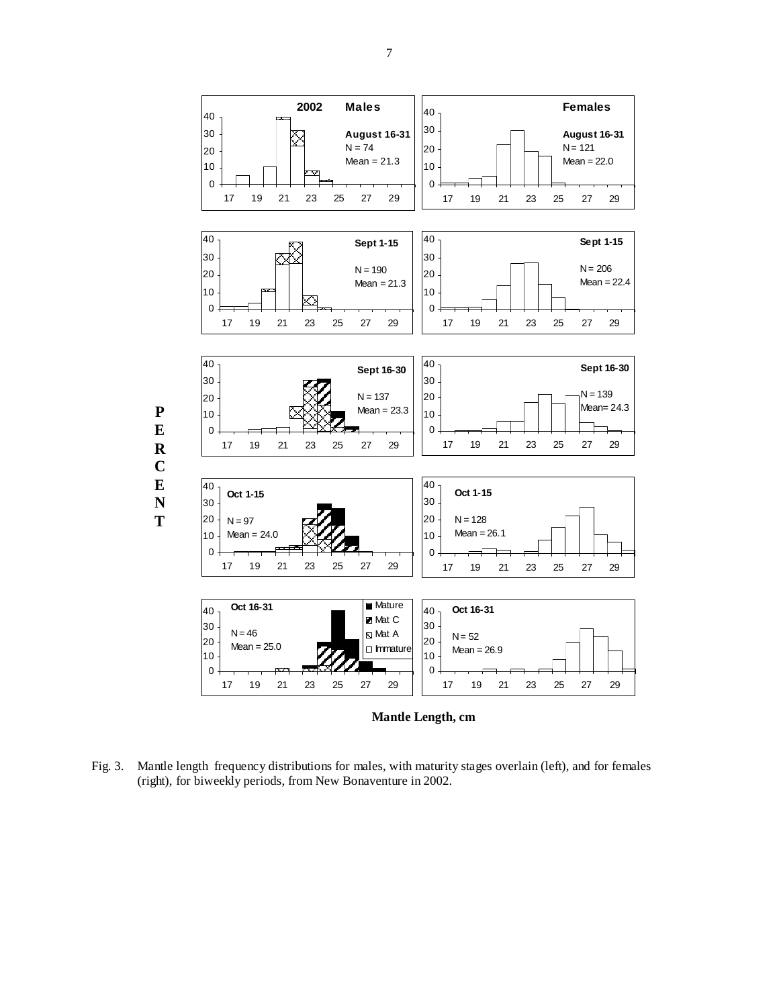

Fig. 3. Mantle length frequency distributions for males, with maturity stages overlain (left), and for females (right), for biweekly periods, from New Bonaventure in 2002.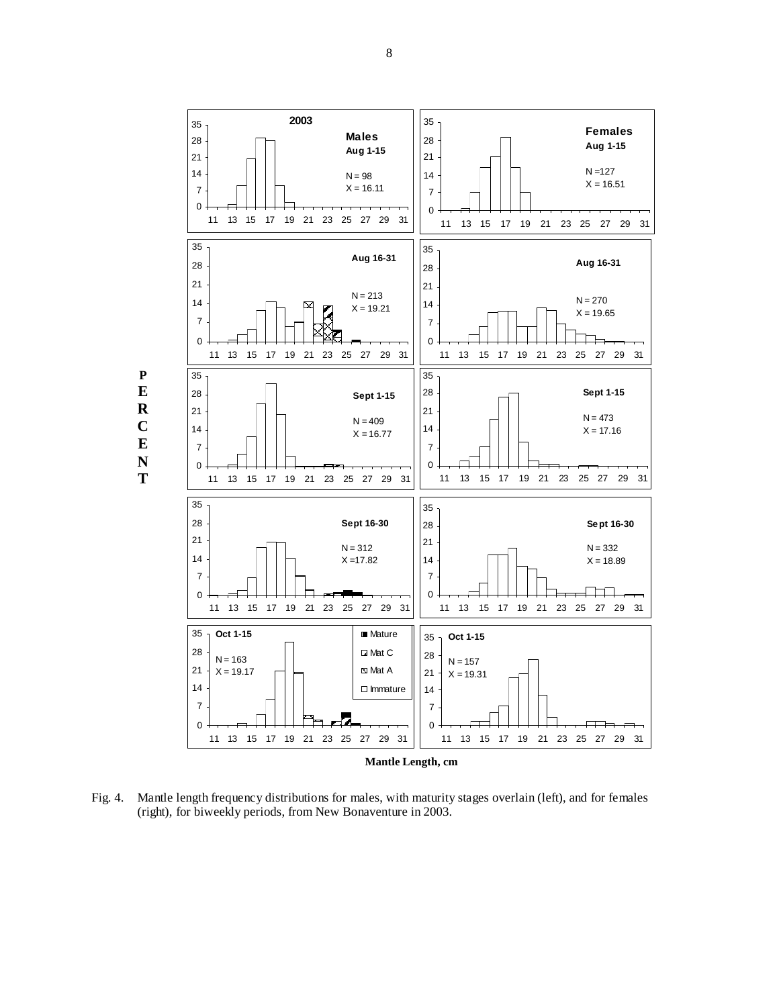

Fig. 4. Mantle length frequency distributions for males, with maturity stages overlain (left), and for females (right), for biweekly periods, from New Bonaventure in 2003.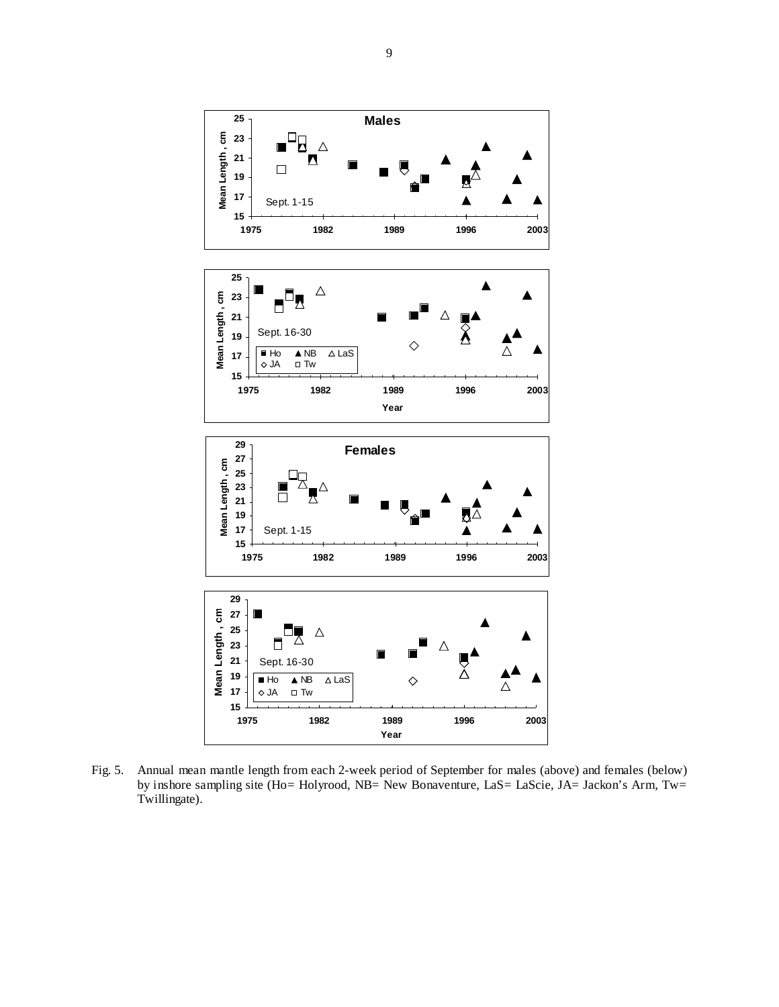

Fig. 5. Annual mean mantle length from each 2-week period of September for males (above) and females (below) by inshore sampling site (Ho= Holyrood, NB= New Bonaventure, LaS= LaScie, JA= Jackon's Arm, Tw= Twillingate).